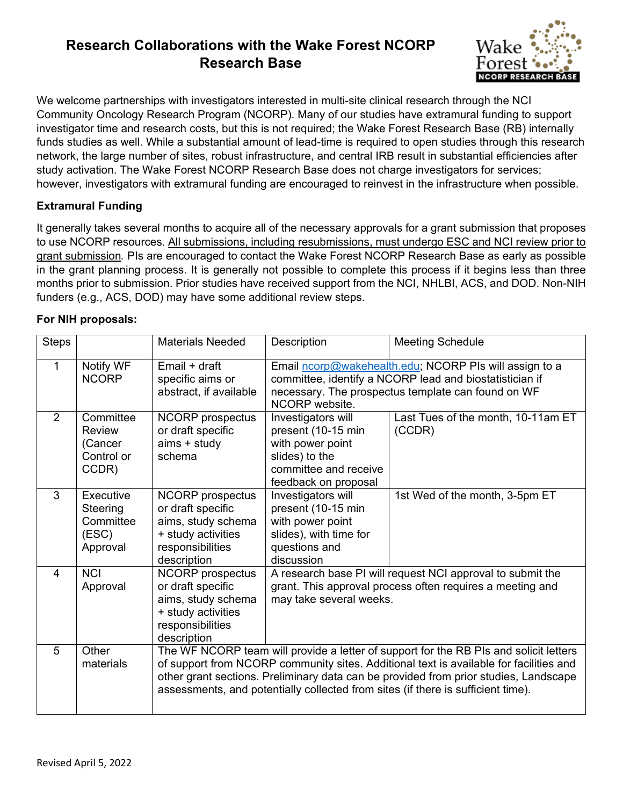# **Research Collaborations with the Wake Forest NCORP Research Base**



We welcome partnerships with investigators interested in multi-site clinical research through the NCI Community Oncology Research Program (NCORP). Many of our studies have extramural funding to support investigator time and research costs, but this is not required; the Wake Forest Research Base (RB) internally funds studies as well. While a substantial amount of lead-time is required to open studies through this research network, the large number of sites, robust infrastructure, and central IRB result in substantial efficiencies after study activation. The Wake Forest NCORP Research Base does not charge investigators for services; however, investigators with extramural funding are encouraged to reinvest in the infrastructure when possible.

## **Extramural Funding**

It generally takes several months to acquire all of the necessary approvals for a grant submission that proposes to use NCORP resources. All submissions, including resubmissions, must undergo ESC and NCI review prior to grant submission*.* PIs are encouraged to contact the Wake Forest NCORP Research Base as early as possible in the grant planning process. It is generally not possible to complete this process if it begins less than three months prior to submission. Prior studies have received support from the NCI, NHLBI, ACS, and DOD. Non-NIH funders (e.g., ACS, DOD) may have some additional review steps.

### **For NIH proposals:**

| <b>Steps</b> |                                                         | <b>Materials Needed</b>                                                                                                                                                                                                                                                                                                                                     | Description                                                                                                                                                                               | <b>Meeting Schedule</b>                      |  |  |
|--------------|---------------------------------------------------------|-------------------------------------------------------------------------------------------------------------------------------------------------------------------------------------------------------------------------------------------------------------------------------------------------------------------------------------------------------------|-------------------------------------------------------------------------------------------------------------------------------------------------------------------------------------------|----------------------------------------------|--|--|
| 1            | Notify WF<br><b>NCORP</b>                               | Email + draft<br>specific aims or<br>abstract, if available                                                                                                                                                                                                                                                                                                 | Email ncorp@wakehealth.edu; NCORP PIs will assign to a<br>committee, identify a NCORP lead and biostatistician if<br>necessary. The prospectus template can found on WF<br>NCORP website. |                                              |  |  |
| 2            | Committee<br>Review<br>(Cancer<br>Control or<br>CCDR)   | <b>NCORP</b> prospectus<br>or draft specific<br>aims + study<br>schema                                                                                                                                                                                                                                                                                      | Investigators will<br>present (10-15 min<br>with power point<br>slides) to the<br>committee and receive<br>feedback on proposal                                                           | Last Tues of the month, 10-11am ET<br>(CCDR) |  |  |
| 3            | Executive<br>Steering<br>Committee<br>(ESC)<br>Approval | <b>NCORP</b> prospectus<br>or draft specific<br>aims, study schema<br>+ study activities<br>responsibilities<br>description                                                                                                                                                                                                                                 | Investigators will<br>present (10-15 min<br>with power point<br>slides), with time for<br>questions and<br>discussion                                                                     | 1st Wed of the month, 3-5pm ET               |  |  |
| 4            | <b>NCI</b><br>Approval                                  | <b>NCORP</b> prospectus<br>or draft specific<br>aims, study schema<br>+ study activities<br>responsibilities<br>description                                                                                                                                                                                                                                 | A research base PI will request NCI approval to submit the<br>grant. This approval process often requires a meeting and<br>may take several weeks.                                        |                                              |  |  |
| 5            | Other<br>materials                                      | The WF NCORP team will provide a letter of support for the RB PIs and solicit letters<br>of support from NCORP community sites. Additional text is available for facilities and<br>other grant sections. Preliminary data can be provided from prior studies, Landscape<br>assessments, and potentially collected from sites (if there is sufficient time). |                                                                                                                                                                                           |                                              |  |  |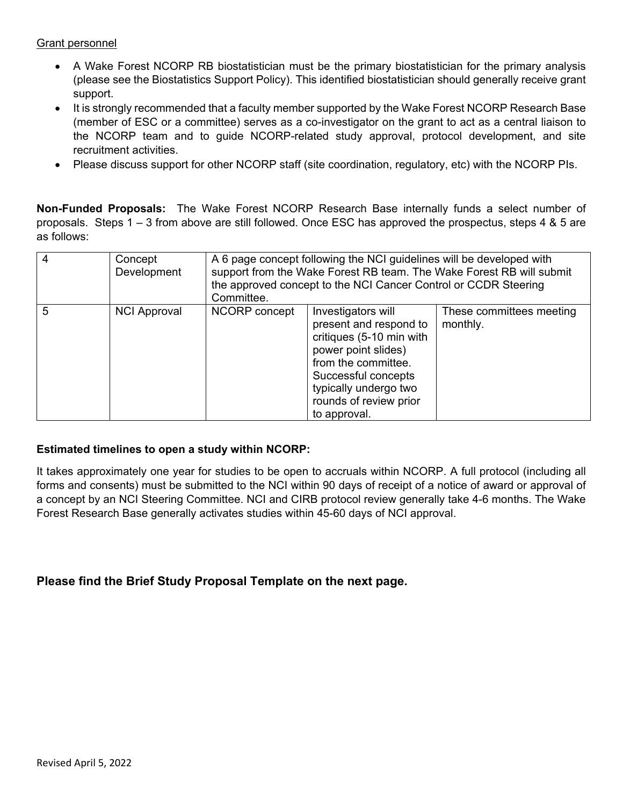#### Grant personnel

- A Wake Forest NCORP RB biostatistician must be the primary biostatistician for the primary analysis (please see the Biostatistics Support Policy). This identified biostatistician should generally receive grant support.
- It is strongly recommended that a faculty member supported by the Wake Forest NCORP Research Base (member of ESC or a committee) serves as a co-investigator on the grant to act as a central liaison to the NCORP team and to guide NCORP-related study approval, protocol development, and site recruitment activities.
- Please discuss support for other NCORP staff (site coordination, regulatory, etc) with the NCORP PIs.

**Non-Funded Proposals:** The Wake Forest NCORP Research Base internally funds a select number of proposals. Steps 1 – 3 from above are still followed. Once ESC has approved the prospectus, steps 4 & 5 are as follows:

| -4 | Concept<br>Development | A 6 page concept following the NCI guidelines will be developed with<br>support from the Wake Forest RB team. The Wake Forest RB will submit<br>the approved concept to the NCI Cancer Control or CCDR Steering<br>Committee. |                                                                                                                                                                                                                  |                                      |  |
|----|------------------------|-------------------------------------------------------------------------------------------------------------------------------------------------------------------------------------------------------------------------------|------------------------------------------------------------------------------------------------------------------------------------------------------------------------------------------------------------------|--------------------------------------|--|
| 5  | <b>NCI Approval</b>    | NCORP concept                                                                                                                                                                                                                 | Investigators will<br>present and respond to<br>critiques (5-10 min with<br>power point slides)<br>from the committee.<br>Successful concepts<br>typically undergo two<br>rounds of review prior<br>to approval. | These committees meeting<br>monthly. |  |

### **Estimated timelines to open a study within NCORP:**

It takes approximately one year for studies to be open to accruals within NCORP. A full protocol (including all forms and consents) must be submitted to the NCI within 90 days of receipt of a notice of award or approval of a concept by an NCI Steering Committee. NCI and CIRB protocol review generally take 4-6 months. The Wake Forest Research Base generally activates studies within 45-60 days of NCI approval.

## **Please find the Brief Study Proposal Template on the next page.**